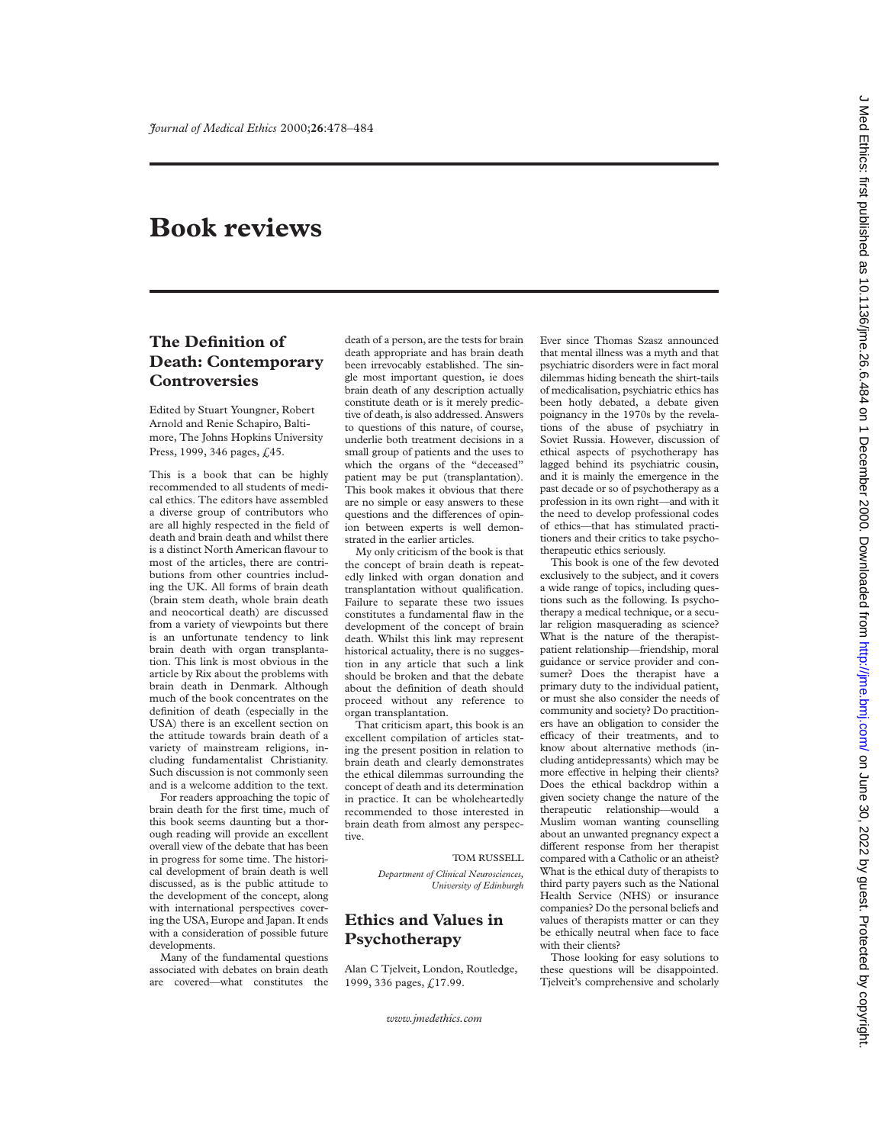# **Book reviews**

### **The Definition of Death: Contemporary Controversies**

Edited by Stuart Youngner, Robert Arnold and Renie Schapiro, Baltimore, The Johns Hopkins University Press, 1999, 346 pages, £45.

This is a book that can be highly recommended to all students of medical ethics. The editors have assembled a diverse group of contributors who are all highly respected in the field of death and brain death and whilst there is a distinct North American flavour to most of the articles, there are contributions from other countries including the UK. All forms of brain death (brain stem death, whole brain death and neocortical death) are discussed from a variety of viewpoints but there is an unfortunate tendency to link brain death with organ transplantation. This link is most obvious in the article by Rix about the problems with brain death in Denmark. Although much of the book concentrates on the definition of death (especially in the USA) there is an excellent section on the attitude towards brain death of a variety of mainstream religions, including fundamentalist Christianity. Such discussion is not commonly seen and is a welcome addition to the text.

For readers approaching the topic of brain death for the first time, much of this book seems daunting but a thorough reading will provide an excellent overall view of the debate that has been in progress for some time. The historical development of brain death is well discussed, as is the public attitude to the development of the concept, along with international perspectives covering the USA, Europe and Japan. It ends with a consideration of possible future developments.

Many of the fundamental questions associated with debates on brain death are covered—what constitutes the death of a person, are the tests for brain death appropriate and has brain death been irrevocably established. The single most important question, ie does brain death of any description actually constitute death or is it merely predictive of death, is also addressed. Answers to questions of this nature, of course, underlie both treatment decisions in a small group of patients and the uses to which the organs of the "deceased" patient may be put (transplantation). This book makes it obvious that there are no simple or easy answers to these questions and the differences of opinion between experts is well demonstrated in the earlier articles.

My only criticism of the book is that the concept of brain death is repeatedly linked with organ donation and transplantation without qualification. Failure to separate these two issues constitutes a fundamental flaw in the development of the concept of brain death. Whilst this link may represent historical actuality, there is no suggestion in any article that such a link should be broken and that the debate about the definition of death should proceed without any reference to organ transplantation.

That criticism apart, this book is an excellent compilation of articles stating the present position in relation to brain death and clearly demonstrates the ethical dilemmas surrounding the concept of death and its determination in practice. It can be wholeheartedly recommended to those interested in brain death from almost any perspective.

TOM RUSSELL

*Department of Clinical Neurosciences, University of Edinburgh*

### **Ethics and Values in Psychotherapy**

Alan C Tjelveit, London, Routledge, 1999, 336 pages, £17.99.

*www.jmedethics.com*

Ever since Thomas Szasz announced that mental illness was a myth and that psychiatric disorders were in fact moral dilemmas hiding beneath the shirt-tails of medicalisation, psychiatric ethics has been hotly debated, a debate given poignancy in the 1970s by the revelations of the abuse of psychiatry in Soviet Russia. However, discussion of ethical aspects of psychotherapy has lagged behind its psychiatric cousin, and it is mainly the emergence in the past decade or so of psychotherapy as a profession in its own right—and with it the need to develop professional codes of ethics—that has stimulated practitioners and their critics to take psychotherapeutic ethics seriously.

This book is one of the few devoted exclusively to the subject, and it covers a wide range of topics, including questions such as the following. Is psychotherapy a medical technique, or a secular religion masquerading as science? What is the nature of the therapistpatient relationship—friendship, moral guidance or service provider and consumer? Does the therapist have a primary duty to the individual patient, or must she also consider the needs of community and society? Do practitioners have an obligation to consider the efficacy of their treatments, and to know about alternative methods (including antidepressants) which may be more effective in helping their clients? Does the ethical backdrop within a given society change the nature of the therapeutic relationship—would a Muslim woman wanting counselling about an unwanted pregnancy expect a different response from her therapist compared with a Catholic or an atheist? What is the ethical duty of therapists to third party payers such as the National Health Service (NHS) or insurance companies? Do the personal beliefs and values of therapists matter or can they be ethically neutral when face to face with their clients?

Those looking for easy solutions to these questions will be disappointed. Tjelveit's comprehensive and scholarly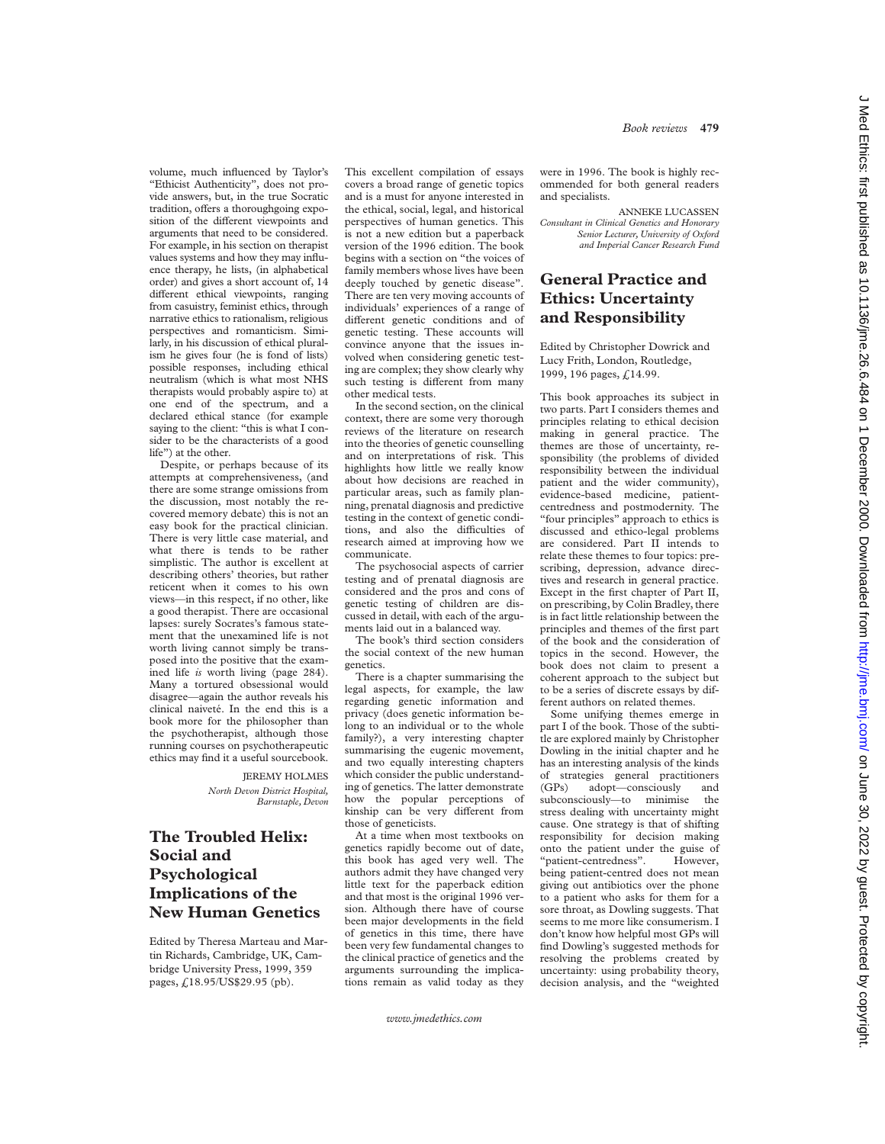volume, much influenced by Taylor's "Ethicist Authenticity", does not provide answers, but, in the true Socratic tradition, offers a thoroughgoing exposition of the different viewpoints and arguments that need to be considered. For example, in his section on therapist values systems and how they may influence therapy, he lists, (in alphabetical order) and gives a short account of, 14 different ethical viewpoints, ranging from casuistry, feminist ethics, through narrative ethics to rationalism, religious perspectives and romanticism. Similarly, in his discussion of ethical pluralism he gives four (he is fond of lists) possible responses, including ethical neutralism (which is what most NHS therapists would probably aspire to) at one end of the spectrum, and a declared ethical stance (for example saying to the client: "this is what I consider to be the characterists of a good life") at the other.

Despite, or perhaps because of its attempts at comprehensiveness, (and there are some strange omissions from the discussion, most notably the recovered memory debate) this is not an easy book for the practical clinician. There is very little case material, and what there is tends to be rather simplistic. The author is excellent at describing others' theories, but rather reticent when it comes to his own views—in this respect, if no other, like a good therapist. There are occasional lapses: surely Socrates's famous statement that the unexamined life is not worth living cannot simply be transposed into the positive that the examined life *is* worth living (page 284). Many a tortured obsessional would disagree—again the author reveals his clinical naiveté. In the end this is a book more for the philosopher than the psychotherapist, although those running courses on psychotherapeutic ethics may find it a useful sourcebook.

> JEREMY HOLMES *North Devon District Hospital, Barnstaple, Devon*

### **The Troubled Helix: Social and Psychological Implications of the New Human Genetics**

Edited by Theresa Marteau and Martin Richards, Cambridge, UK, Cambridge University Press, 1999, 359 pages, £18.95/US\$29.95 (pb).

This excellent compilation of essays covers a broad range of genetic topics and is a must for anyone interested in the ethical, social, legal, and historical perspectives of human genetics. This is not a new edition but a paperback version of the 1996 edition. The book begins with a section on "the voices of family members whose lives have been deeply touched by genetic disease". There are ten very moving accounts of individuals' experiences of a range of different genetic conditions and of genetic testing. These accounts will convince anyone that the issues involved when considering genetic testing are complex; they show clearly why such testing is different from many other medical tests.

In the second section, on the clinical context, there are some very thorough reviews of the literature on research into the theories of genetic counselling and on interpretations of risk. This highlights how little we really know about how decisions are reached in particular areas, such as family planning, prenatal diagnosis and predictive testing in the context of genetic conditions, and also the difficulties of research aimed at improving how we communicate.

The psychosocial aspects of carrier testing and of prenatal diagnosis are considered and the pros and cons of genetic testing of children are discussed in detail, with each of the arguments laid out in a balanced way.

The book's third section considers the social context of the new human genetics.

There is a chapter summarising the legal aspects, for example, the law regarding genetic information and privacy (does genetic information belong to an individual or to the whole family?), a very interesting chapter summarising the eugenic movement, and two equally interesting chapters which consider the public understanding of genetics. The latter demonstrate how the popular perceptions of kinship can be very different from those of geneticists.

At a time when most textbooks on genetics rapidly become out of date, this book has aged very well. The authors admit they have changed very little text for the paperback edition and that most is the original 1996 version. Although there have of course been major developments in the field of genetics in this time, there have been very few fundamental changes to the clinical practice of genetics and the arguments surrounding the implications remain as valid today as they were in 1996. The book is highly recommended for both general readers and specialists.

ANNEKE LUCASSEN *Consultant in Clinical Genetics and Honorary Senior Lecturer, University of Oxford and Imperial Cancer Research Fund*

### **General Practice and Ethics: Uncertainty and Responsibility**

Edited by Christopher Dowrick and Lucy Frith, London, Routledge, 1999, 196 pages, £14.99.

This book approaches its subject in two parts. Part I considers themes and principles relating to ethical decision making in general practice. The themes are those of uncertainty, responsibility (the problems of divided responsibility between the individual patient and the wider community), evidence-based medicine, patientcentredness and postmodernity. The "four principles" approach to ethics is discussed and ethico-legal problems are considered. Part II intends to relate these themes to four topics: prescribing, depression, advance directives and research in general practice. Except in the first chapter of Part II, on prescribing, by Colin Bradley, there is in fact little relationship between the principles and themes of the first part of the book and the consideration of topics in the second. However, the book does not claim to present a coherent approach to the subject but to be a series of discrete essays by different authors on related themes.

Some unifying themes emerge in part I of the book. Those of the subtitle are explored mainly by Christopher Dowling in the initial chapter and he has an interesting analysis of the kinds of strategies general practitioners<br>(GPs) adopt—consciously and adopt—consciously and<br>
iously—to minimise the subconsciously—to minimise stress dealing with uncertainty might cause. One strategy is that of shifting responsibility for decision making onto the patient under the guise of<br>"patient-centredness". However, "patient-centredness". being patient-centred does not mean giving out antibiotics over the phone to a patient who asks for them for a sore throat, as Dowling suggests. That seems to me more like consumerism. I don't know how helpful most GPs will find Dowling's suggested methods for resolving the problems created by uncertainty: using probability theory, decision analysis, and the "weighted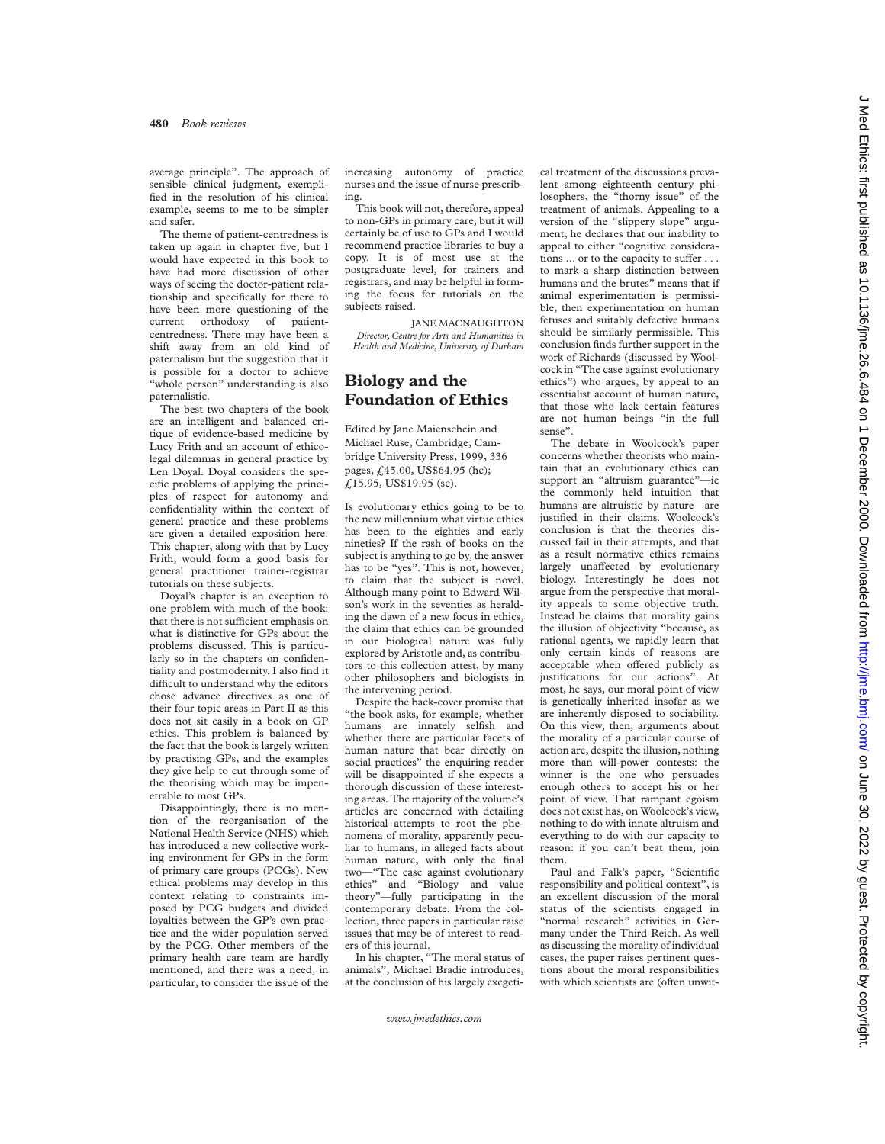are not human beings "in the full sense". The debate in Woolcock's paper concerns whether theorists who maintain that an evolutionary ethics can support an "altruism guarantee"—ie the commonly held intuition that humans are altruistic by nature—are justified in their claims. Woolcock's conclusion is that the theories discussed fail in their attempts, and that as a result normative ethics remains largely unaffected by evolutionary biology. Interestingly he does not argue from the perspective that morality appeals to some objective truth. Instead he claims that morality gains the illusion of objectivity "because, as rational agents, we rapidly learn that only certain kinds of reasons are acceptable when offered publicly as justifications for our actions". At most, he says, our moral point of view is genetically inherited insofar as we are inherently disposed to sociability. On this view, then, arguments about the morality of a particular course of action are, despite the illusion, nothing more than will-power contests: the winner is the one who persuades enough others to accept his or her point of view. That rampant egoism does not exist has, on Woolcock's view, nothing to do with innate altruism and everything to do with our capacity to reason: if you can't beat them, join them.

Paul and Falk's paper, "Scientific responsibility and political context", is an excellent discussion of the moral status of the scientists engaged in "normal research" activities in Germany under the Third Reich. As well as discussing the morality of individual cases, the paper raises pertinent questions about the moral responsibilities with which scientists are (often unwit-

cal treatment of the discussions prevalent among eighteenth century philosophers, the "thorny issue" of the treatment of animals. Appealing to a version of the "slippery slope" argument, he declares that our inability to appeal to either "cognitive considerations  $\ldots$  or to the capacity to suffer  $\ldots$ to mark a sharp distinction between humans and the brutes" means that if animal experimentation is permissible, then experimentation on human fetuses and suitably defective humans should be similarly permissible. This conclusion finds further support in the work of Richards (discussed by Woolcock in "The case against evolutionary ethics") who argues, by appeal to an essentialist account of human nature, that those who lack certain features

increasing autonomy of practice nurses and the issue of nurse prescrib-This book will not, therefore, appeal

ing.

to non-GPs in primary care, but it will certainly be of use to GPs and I would recommend practice libraries to buy a copy. It is of most use at the postgraduate level, for trainers and registrars, and may be helpful in forming the focus for tutorials on the subjects raised.

JANE MACNAUGHTON *Director, Centre for Arts and Humanities in Health and Medicine, University of Durham*

### **Biology and the Foundation of Ethics**

Edited by Jane Maienschein and Michael Ruse, Cambridge, Cambridge University Press, 1999, 336 pages, £45.00, US\$64.95 (hc); £15.95, US\$19.95 (sc).

Is evolutionary ethics going to be to the new millennium what virtue ethics has been to the eighties and early nineties? If the rash of books on the subject is anything to go by, the answer has to be "yes". This is not, however, to claim that the subject is novel. Although many point to Edward Wilson's work in the seventies as heralding the dawn of a new focus in ethics, the claim that ethics can be grounded in our biological nature was fully explored by Aristotle and, as contributors to this collection attest, by many other philosophers and biologists in the intervening period.

Despite the back-cover promise that "the book asks, for example, whether humans are innately selfish and whether there are particular facets of human nature that bear directly on social practices" the enquiring reader will be disappointed if she expects a thorough discussion of these interesting areas. The majority of the volume's articles are concerned with detailing historical attempts to root the phenomena of morality, apparently peculiar to humans, in alleged facts about human nature, with only the final two—"The case against evolutionary ethics" and "Biology and value theory"—fully participating in the contemporary debate. From the collection, three papers in particular raise issues that may be of interest to readers of this journal.

In his chapter, "The moral status of animals", Michael Bradie introduces, at the conclusion of his largely exegeti-

#### *www.jmedethics.com*

average principle". The approach of sensible clinical judgment, exemplified in the resolution of his clinical example, seems to me to be simpler and safer.

The theme of patient-centredness is taken up again in chapter five, but I would have expected in this book to have had more discussion of other ways of seeing the doctor-patient relationship and specifically for there to have been more questioning of the current orthodoxy of patientcentredness. There may have been a shift away from an old kind of paternalism but the suggestion that it is possible for a doctor to achieve "whole person" understanding is also paternalistic.

The best two chapters of the book are an intelligent and balanced critique of evidence-based medicine by Lucy Frith and an account of ethicolegal dilemmas in general practice by Len Doyal. Doyal considers the specific problems of applying the principles of respect for autonomy and confidentiality within the context of general practice and these problems are given a detailed exposition here. This chapter, along with that by Lucy Frith, would form a good basis for general practitioner trainer-registrar tutorials on these subjects.

Doyal's chapter is an exception to one problem with much of the book: that there is not sufficient emphasis on what is distinctive for GPs about the problems discussed. This is particularly so in the chapters on confidentiality and postmodernity. I also find it difficult to understand why the editors chose advance directives as one of their four topic areas in Part II as this does not sit easily in a book on GP ethics. This problem is balanced by the fact that the book is largely written by practising GPs, and the examples they give help to cut through some of the theorising which may be impenetrable to most GPs.

Disappointingly, there is no mention of the reorganisation of the National Health Service (NHS) which has introduced a new collective working environment for GPs in the form of primary care groups (PCGs). New ethical problems may develop in this context relating to constraints imposed by PCG budgets and divided loyalties between the GP's own practice and the wider population served by the PCG. Other members of the primary health care team are hardly mentioned, and there was a need, in particular, to consider the issue of the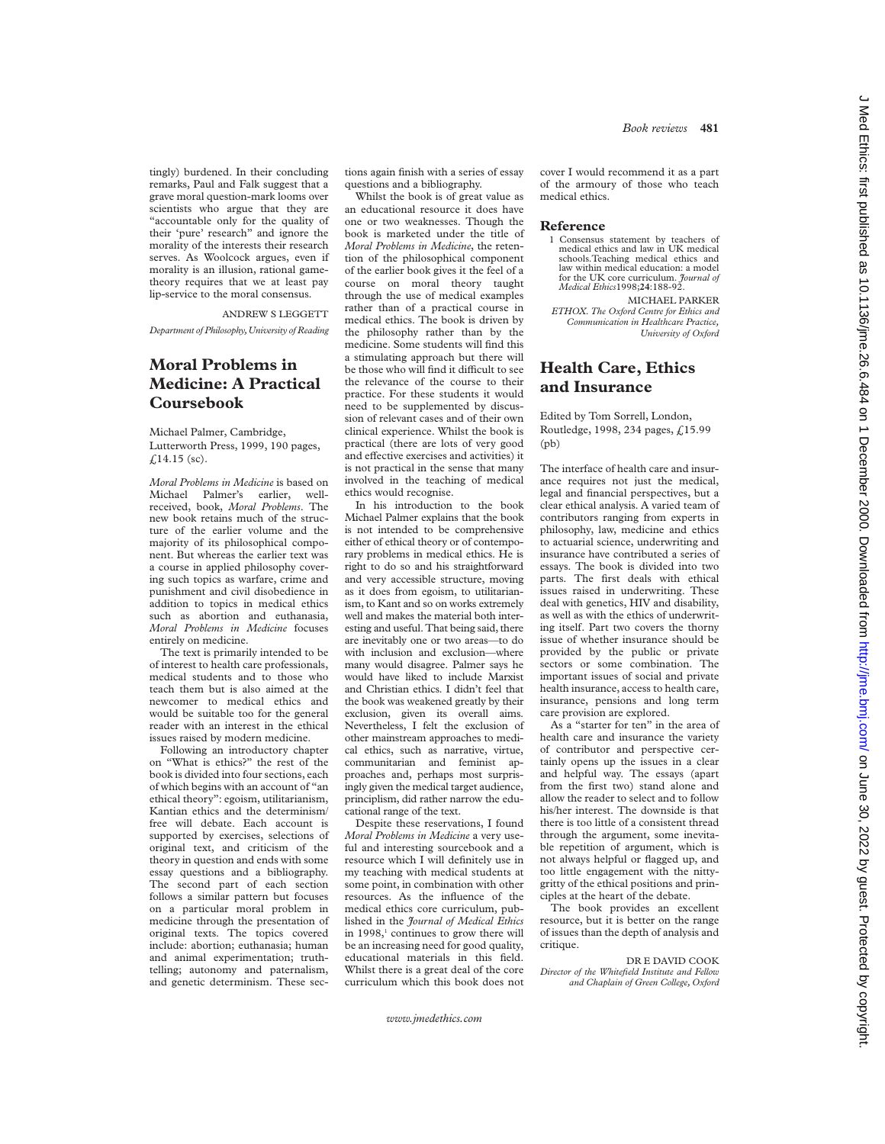tingly) burdened. In their concluding remarks, Paul and Falk suggest that a grave moral question-mark looms over scientists who argue that they are "accountable only for the quality of their 'pure' research" and ignore the morality of the interests their research serves. As Woolcock argues, even if morality is an illusion, rational gametheory requires that we at least pay lip-service to the moral consensus.

ANDREW S LEGGETT

*Department of Philosophy,University of Reading*

### **Moral Problems in Medicine: A Practical Coursebook**

Michael Palmer, Cambridge, Lutterworth Press, 1999, 190 pages,  $£14.15$  (sc).

*Moral Problems in Medicine* is based on Michael Palmer's earlier, wellreceived, book, *Moral Problems*. The new book retains much of the structure of the earlier volume and the majority of its philosophical component. But whereas the earlier text was a course in applied philosophy covering such topics as warfare, crime and punishment and civil disobedience in addition to topics in medical ethics such as abortion and euthanasia, *Moral Problems in Medicine* focuses entirely on medicine.

The text is primarily intended to be of interest to health care professionals, medical students and to those who teach them but is also aimed at the newcomer to medical ethics and would be suitable too for the general reader with an interest in the ethical issues raised by modern medicine.

Following an introductory chapter on "What is ethics?" the rest of the book is divided into four sections, each of which begins with an account of "an ethical theory": egoism, utilitarianism, Kantian ethics and the determinism/ free will debate. Each account is supported by exercises, selections of original text, and criticism of the theory in question and ends with some essay questions and a bibliography. The second part of each section follows a similar pattern but focuses on a particular moral problem in medicine through the presentation of original texts. The topics covered include: abortion; euthanasia; human and animal experimentation; truthtelling; autonomy and paternalism, and genetic determinism. These sections again finish with a series of essay questions and a bibliography.

Whilst the book is of great value as an educational resource it does have one or two weaknesses. Though the book is marketed under the title of *Moral Problems in Medicine*, the retention of the philosophical component of the earlier book gives it the feel of a course on moral theory taught through the use of medical examples rather than of a practical course in medical ethics. The book is driven by the philosophy rather than by the medicine. Some students will find this a stimulating approach but there will be those who will find it difficult to see the relevance of the course to their practice. For these students it would need to be supplemented by discussion of relevant cases and of their own clinical experience. Whilst the book is practical (there are lots of very good and effective exercises and activities) it is not practical in the sense that many involved in the teaching of medical ethics would recognise.

In his introduction to the book Michael Palmer explains that the book is not intended to be comprehensive either of ethical theory or of contemporary problems in medical ethics. He is right to do so and his straightforward and very accessible structure, moving as it does from egoism, to utilitarianism, to Kant and so on works extremely well and makes the material both interesting and useful. That being said, there are inevitably one or two areas—to do with inclusion and exclusion—where many would disagree. Palmer says he would have liked to include Marxist and Christian ethics. I didn't feel that the book was weakened greatly by their exclusion, given its overall aims. Nevertheless, I felt the exclusion of other mainstream approaches to medical ethics, such as narrative, virtue, communitarian and feminist approaches and, perhaps most surprisingly given the medical target audience, principlism, did rather narrow the educational range of the text.

Despite these reservations, I found *Moral Problems in Medicine* a very useful and interesting sourcebook and a resource which I will definitely use in my teaching with medical students at some point, in combination with other resources. As the influence of the medical ethics core curriculum, published in the *Journal of Medical Ethics* in 1998, <sup>1</sup> continues to grow there will be an increasing need for good quality, educational materials in this field. Whilst there is a great deal of the core curriculum which this book does not

#### *www.jmedethics.com*

cover I would recommend it as a part of the armoury of those who teach medical ethics.

#### **Reference**

1 Consensus statement by teachers of medical ethics and law in UK medical schools.Teaching medical ethics and law within medical education: a model for the UK core curriculum. *Journal of Medical Ethics*1998;**24**:188-92.

MICHAEL PARKER *ETHOX. The Oxford Centre for Ethics and Communication in Healthcare Practice, University of Oxford*

### **Health Care, Ethics and Insurance**

Edited by Tom Sorrell, London, Routledge, 1998, 234 pages, £15.99  $(hh)$ 

The interface of health care and insurance requires not just the medical, legal and financial perspectives, but a clear ethical analysis. A varied team of contributors ranging from experts in philosophy, law, medicine and ethics to actuarial science, underwriting and insurance have contributed a series of essays. The book is divided into two parts. The first deals with ethical issues raised in underwriting. These deal with genetics, HIV and disability, as well as with the ethics of underwriting itself. Part two covers the thorny issue of whether insurance should be provided by the public or private sectors or some combination. The important issues of social and private health insurance, access to health care, insurance, pensions and long term care provision are explored.

J Med Ethics: first published as 10.1136/jme.26.6.484 on 1 December 2000. Downloaded from http://jme.bmj.com/ on June 30, 2022 by guest. Protected by copyright Dum Buniss: it issums and Dum Bunism in 1980, 2022 by a 10.000. Downloaded as the clust published in a manism on June 200, 2020, 2022 on 2012 on 2014 on 10.1136/jme.26.7.1136/jme.26.7.484 on 1 December 2000. Downloaded fro

As a "starter for ten" in the area of health care and insurance the variety of contributor and perspective certainly opens up the issues in a clear and helpful way. The essays (apart from the first two) stand alone and allow the reader to select and to follow his/her interest. The downside is that there is too little of a consistent thread through the argument, some inevitable repetition of argument, which is not always helpful or flagged up, and too little engagement with the nittygritty of the ethical positions and principles at the heart of the debate.

The book provides an excellent resource, but it is better on the range of issues than the depth of analysis and critique.

DR E DAVID COOK *Director of the Whitefield Institute and Fellow and Chaplain of Green College, Oxford*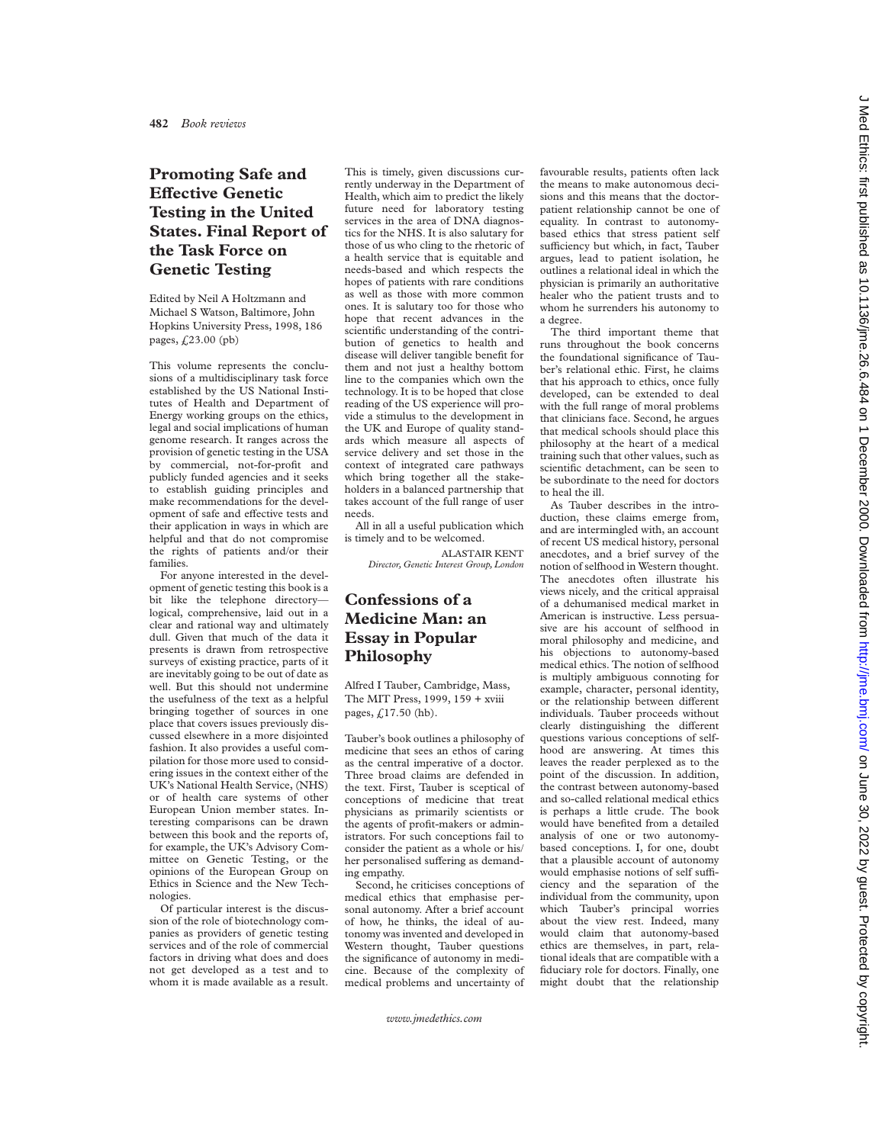## **Promoting Safe and Effective Genetic Testing in the United States. Final Report of the Task Force on Genetic Testing**

Edited by Neil A Holtzmann and Michael S Watson, Baltimore, John Hopkins University Press, 1998, 186 pages,  $f(23.00$  (pb)

This volume represents the conclusions of a multidisciplinary task force established by the US National Institutes of Health and Department of Energy working groups on the ethics, legal and social implications of human genome research. It ranges across the provision of genetic testing in the USA by commercial, not-for-profit and publicly funded agencies and it seeks to establish guiding principles and make recommendations for the development of safe and effective tests and their application in ways in which are helpful and that do not compromise the rights of patients and/or their families.

For anyone interested in the development of genetic testing this book is a bit like the telephone directory logical, comprehensive, laid out in a clear and rational way and ultimately dull. Given that much of the data it presents is drawn from retrospective surveys of existing practice, parts of it are inevitably going to be out of date as well. But this should not undermine the usefulness of the text as a helpful bringing together of sources in one place that covers issues previously discussed elsewhere in a more disjointed fashion. It also provides a useful compilation for those more used to considering issues in the context either of the UK's National Health Service, (NHS) or of health care systems of other European Union member states. Interesting comparisons can be drawn between this book and the reports of, for example, the UK's Advisory Committee on Genetic Testing, or the opinions of the European Group on Ethics in Science and the New Technologies.

Of particular interest is the discussion of the role of biotechnology companies as providers of genetic testing services and of the role of commercial factors in driving what does and does not get developed as a test and to whom it is made available as a result.

This is timely, given discussions currently underway in the Department of Health, which aim to predict the likely future need for laboratory testing services in the area of DNA diagnostics for the NHS. It is also salutary for those of us who cling to the rhetoric of a health service that is equitable and needs-based and which respects the hopes of patients with rare conditions as well as those with more common ones. It is salutary too for those who hope that recent advances in the scientific understanding of the contribution of genetics to health and disease will deliver tangible benefit for them and not just a healthy bottom line to the companies which own the technology. It is to be hoped that close reading of the US experience will provide a stimulus to the development in the UK and Europe of quality standards which measure all aspects of service delivery and set those in the context of integrated care pathways which bring together all the stakeholders in a balanced partnership that takes account of the full range of user needs.

All in all a useful publication which is timely and to be welcomed.

> ALASTAIR KENT *Director, Genetic Interest Group, London*

## **Confessions of a Medicine Man: an Essay in Popular Philosophy**

Alfred I Tauber, Cambridge, Mass, The MIT Press, 1999, 159 + xviii pages, £17.50 (hb).

Tauber's book outlines a philosophy of medicine that sees an ethos of caring as the central imperative of a doctor. Three broad claims are defended in the text. First, Tauber is sceptical of conceptions of medicine that treat physicians as primarily scientists or the agents of profit-makers or administrators. For such conceptions fail to consider the patient as a whole or his/ her personalised suffering as demanding empathy.

Second, he criticises conceptions of medical ethics that emphasise personal autonomy. After a brief account of how, he thinks, the ideal of autonomy was invented and developed in Western thought, Tauber questions the significance of autonomy in medicine. Because of the complexity of medical problems and uncertainty of favourable results, patients often lack the means to make autonomous decisions and this means that the doctorpatient relationship cannot be one of equality. In contrast to autonomybased ethics that stress patient self sufficiency but which, in fact, Tauber argues, lead to patient isolation, he outlines a relational ideal in which the physician is primarily an authoritative healer who the patient trusts and to whom he surrenders his autonomy to a degree.

The third important theme that runs throughout the book concerns the foundational significance of Tauber's relational ethic. First, he claims that his approach to ethics, once fully developed, can be extended to deal with the full range of moral problems that clinicians face. Second, he argues that medical schools should place this philosophy at the heart of a medical training such that other values, such as scientific detachment, can be seen to be subordinate to the need for doctors to heal the ill.

As Tauber describes in the introduction, these claims emerge from, and are intermingled with, an account of recent US medical history, personal anecdotes, and a brief survey of the notion of selfhood in Western thought. The anecdotes often illustrate his views nicely, and the critical appraisal of a dehumanised medical market in American is instructive. Less persuasive are his account of selfhood in moral philosophy and medicine, and his objections to autonomy-based medical ethics. The notion of selfhood is multiply ambiguous connoting for example, character, personal identity, or the relationship between different individuals. Tauber proceeds without clearly distinguishing the different questions various conceptions of selfhood are answering. At times this leaves the reader perplexed as to the point of the discussion. In addition, the contrast between autonomy-based and so-called relational medical ethics is perhaps a little crude. The book would have benefited from a detailed analysis of one or two autonomybased conceptions. I, for one, doubt that a plausible account of autonomy would emphasise notions of self sufficiency and the separation of the individual from the community, upon which Tauber's principal worries about the view rest. Indeed, many would claim that autonomy-based ethics are themselves, in part, relational ideals that are compatible with a fiduciary role for doctors. Finally, one might doubt that the relationship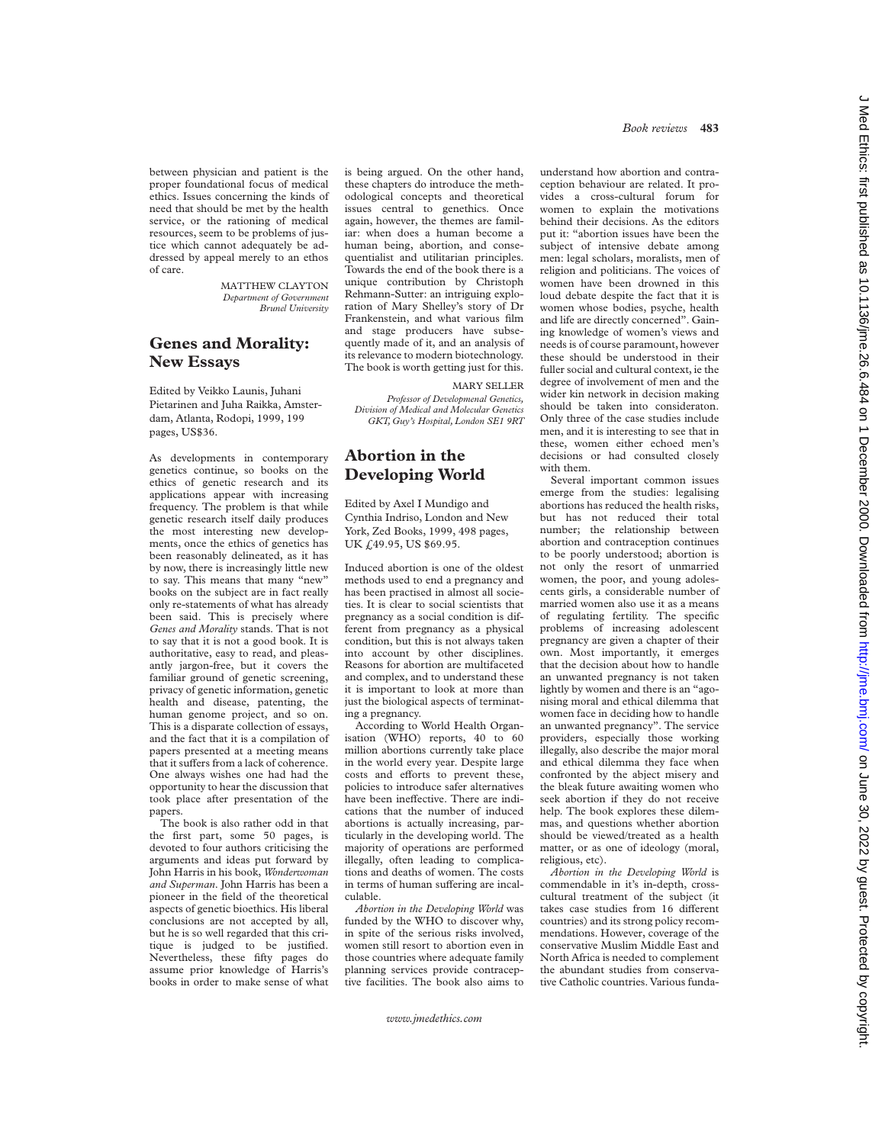between physician and patient is the proper foundational focus of medical ethics. Issues concerning the kinds of need that should be met by the health service, or the rationing of medical resources, seem to be problems of justice which cannot adequately be addressed by appeal merely to an ethos of care.

> MATTHEW CLAYTON *Department of Government Brunel University*

### **Genes and Morality: New Essays**

Edited by Veikko Launis, Juhani Pietarinen and Juha Raikka, Amsterdam, Atlanta, Rodopi, 1999, 199 pages, US\$36.

As developments in contemporary genetics continue, so books on the ethics of genetic research and its applications appear with increasing frequency. The problem is that while genetic research itself daily produces the most interesting new developments, once the ethics of genetics has been reasonably delineated, as it has by now, there is increasingly little new to say. This means that many "new" books on the subject are in fact really only re-statements of what has already been said. This is precisely where *Genes and Morality* stands. That is not to say that it is not a good book. It is authoritative, easy to read, and pleasantly jargon-free, but it covers the familiar ground of genetic screening, privacy of genetic information, genetic health and disease, patenting, the human genome project, and so on. This is a disparate collection of essays, and the fact that it is a compilation of papers presented at a meeting means that it suffers from a lack of coherence. One always wishes one had had the opportunity to hear the discussion that took place after presentation of the papers.

The book is also rather odd in that the first part, some 50 pages, is devoted to four authors criticising the arguments and ideas put forward by John Harris in his book, *Wonderwoman and Superman*. John Harris has been a pioneer in the field of the theoretical aspects of genetic bioethics. His liberal conclusions are not accepted by all, but he is so well regarded that this critique is judged to be justified. Nevertheless, these fifty pages do assume prior knowledge of Harris's books in order to make sense of what is being argued. On the other hand, these chapters do introduce the methodological concepts and theoretical issues central to genethics. Once again, however, the themes are familiar: when does a human become a human being, abortion, and consequentialist and utilitarian principles. Towards the end of the book there is a unique contribution by Christoph Rehmann-Sutter: an intriguing exploration of Mary Shelley's story of Dr Frankenstein, and what various film and stage producers have subsequently made of it, and an analysis of its relevance to modern biotechnology. The book is worth getting just for this.

MARY SELLER

*Professor of Developmenal Genetics, Division of Medical and Molecular Genetics GKT, Guy's Hospital, London SE1 9RT*

### **Abortion in the Developing World**

Edited by Axel I Mundigo and Cynthia Indriso, London and New York, Zed Books, 1999, 498 pages, UK £49.95, US \$69.95.

Induced abortion is one of the oldest methods used to end a pregnancy and has been practised in almost all societies. It is clear to social scientists that pregnancy as a social condition is different from pregnancy as a physical condition, but this is not always taken into account by other disciplines. Reasons for abortion are multifaceted and complex, and to understand these it is important to look at more than just the biological aspects of terminating a pregnancy.

According to World Health Organisation (WHO) reports, 40 to 60 million abortions currently take place in the world every year. Despite large costs and efforts to prevent these, policies to introduce safer alternatives have been ineffective. There are indications that the number of induced abortions is actually increasing, particularly in the developing world. The majority of operations are performed illegally, often leading to complications and deaths of women. The costs in terms of human suffering are incalculable.

*Abortion in the Developing World* was funded by the WHO to discover why, in spite of the serious risks involved, women still resort to abortion even in those countries where adequate family planning services provide contraceptive facilities. The book also aims to *Book reviews* **483**

understand how abortion and contraception behaviour are related. It provides a cross-cultural forum for women to explain the motivations behind their decisions. As the editors put it: "abortion issues have been the subject of intensive debate among men: legal scholars, moralists, men of religion and politicians. The voices of women have been drowned in this loud debate despite the fact that it is women whose bodies, psyche, health and life are directly concerned". Gaining knowledge of women's views and needs is of course paramount, however these should be understood in their fuller social and cultural context, ie the degree of involvement of men and the wider kin network in decision making should be taken into consideraton. Only three of the case studies include men, and it is interesting to see that in these, women either echoed men's decisions or had consulted closely with them.

Several important common issues emerge from the studies: legalising abortions has reduced the health risks, but has not reduced their total number; the relationship between abortion and contraception continues to be poorly understood; abortion is not only the resort of unmarried women, the poor, and young adolescents girls, a considerable number of married women also use it as a means of regulating fertility. The specific problems of increasing adolescent pregnancy are given a chapter of their own. Most importantly, it emerges that the decision about how to handle an unwanted pregnancy is not taken lightly by women and there is an "agonising moral and ethical dilemma that women face in deciding how to handle an unwanted pregnancy". The service providers, especially those working illegally, also describe the major moral and ethical dilemma they face when confronted by the abject misery and the bleak future awaiting women who seek abortion if they do not receive help. The book explores these dilemmas, and questions whether abortion should be viewed/treated as a health matter, or as one of ideology (moral, religious, etc).

*Abortion in the Developing World* is commendable in it's in-depth, crosscultural treatment of the subject (it takes case studies from 16 different countries) and its strong policy recommendations. However, coverage of the conservative Muslim Middle East and North Africa is needed to complement the abundant studies from conservative Catholic countries. Various funda